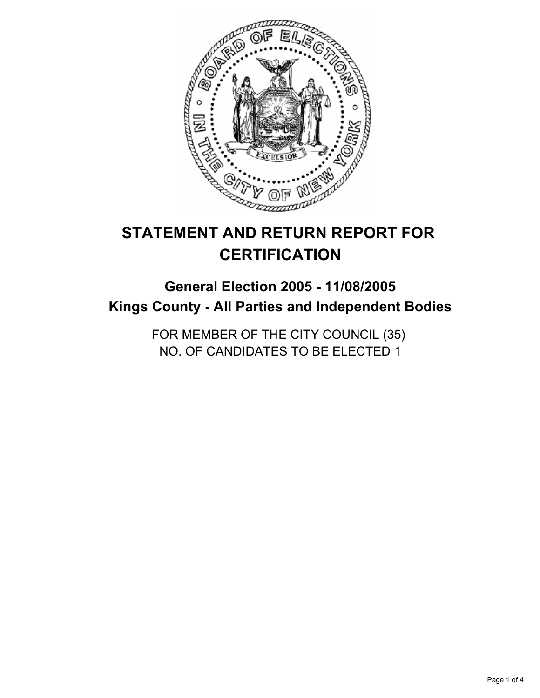

# **STATEMENT AND RETURN REPORT FOR CERTIFICATION**

## **General Election 2005 - 11/08/2005 Kings County - All Parties and Independent Bodies**

FOR MEMBER OF THE CITY COUNCIL (35) NO. OF CANDIDATES TO BE ELECTED 1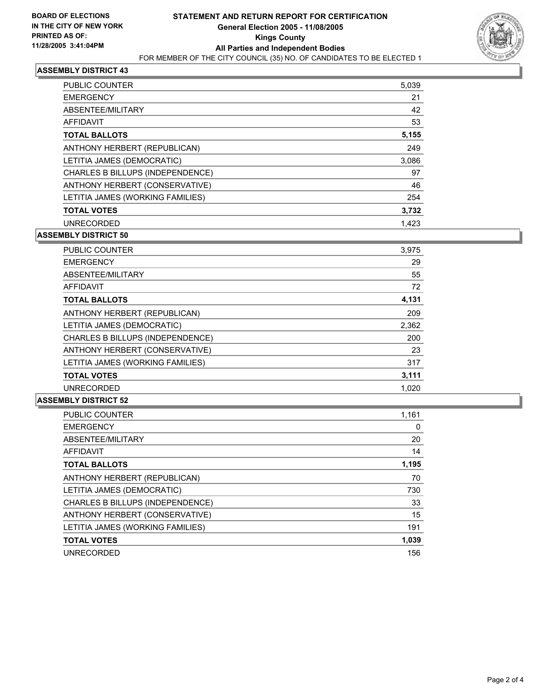

#### **ASSEMBLY DISTRICT 43**

| PUBLIC COUNTER                   | 5,039 |
|----------------------------------|-------|
| <b>EMERGENCY</b>                 | 21    |
| ABSENTEE/MILITARY                | 42    |
| AFFIDAVIT                        | 53    |
| <b>TOTAL BALLOTS</b>             | 5,155 |
| ANTHONY HERBERT (REPUBLICAN)     | 249   |
| LETITIA JAMES (DEMOCRATIC)       | 3,086 |
| CHARLES B BILLUPS (INDEPENDENCE) | 97    |
| ANTHONY HERBERT (CONSERVATIVE)   | 46    |
| LETITIA JAMES (WORKING FAMILIES) | 254   |
| <b>TOTAL VOTES</b>               | 3,732 |
| <b>UNRECORDED</b>                | 1.423 |

**ASSEMBLY DISTRICT 50**

| PUBLIC COUNTER                   | 3,975 |
|----------------------------------|-------|
| <b>EMERGENCY</b>                 | 29    |
| ABSENTEE/MILITARY                | 55    |
| AFFIDAVIT                        | 72    |
| <b>TOTAL BALLOTS</b>             | 4,131 |
| ANTHONY HERBERT (REPUBLICAN)     | 209   |
| LETITIA JAMES (DEMOCRATIC)       | 2,362 |
| CHARLES B BILLUPS (INDEPENDENCE) | 200   |
| ANTHONY HERBERT (CONSERVATIVE)   | 23    |
| LETITIA JAMES (WORKING FAMILIES) | 317   |
| <b>TOTAL VOTES</b>               | 3,111 |
| <b>UNRECORDED</b>                | 1,020 |

#### **ASSEMBLY DISTRICT 52**

| PUBLIC COUNTER                   | 1,161 |
|----------------------------------|-------|
| <b>EMERGENCY</b>                 | 0     |
| ABSENTEE/MILITARY                | 20    |
| AFFIDAVIT                        | 14    |
| <b>TOTAL BALLOTS</b>             | 1,195 |
| ANTHONY HERBERT (REPUBLICAN)     | 70    |
| LETITIA JAMES (DEMOCRATIC)       | 730   |
| CHARLES B BILLUPS (INDEPENDENCE) | 33    |
| ANTHONY HERBERT (CONSERVATIVE)   | 15    |
| LETITIA JAMES (WORKING FAMILIES) | 191   |
| <b>TOTAL VOTES</b>               | 1,039 |
| <b>UNRECORDED</b>                | 156   |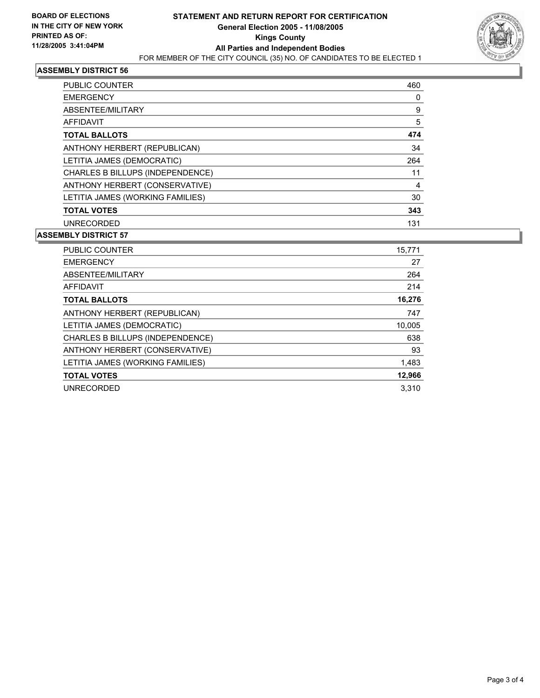

#### **ASSEMBLY DISTRICT 56**

| <b>PUBLIC COUNTER</b>            | 460 |
|----------------------------------|-----|
| <b>EMERGENCY</b>                 | 0   |
| ABSENTEE/MILITARY                | 9   |
| <b>AFFIDAVIT</b>                 | 5   |
| <b>TOTAL BALLOTS</b>             | 474 |
| ANTHONY HERBERT (REPUBLICAN)     | 34  |
| LETITIA JAMES (DEMOCRATIC)       | 264 |
| CHARLES B BILLUPS (INDEPENDENCE) | 11  |
| ANTHONY HERBERT (CONSERVATIVE)   | 4   |
| LETITIA JAMES (WORKING FAMILIES) | 30  |
| <b>TOTAL VOTES</b>               | 343 |
| <b>UNRECORDED</b>                | 131 |

#### **ASSEMBLY DISTRICT 57**

| PUBLIC COUNTER                          | 15,771 |
|-----------------------------------------|--------|
| <b>EMERGENCY</b>                        | 27     |
| ABSENTEE/MILITARY                       | 264    |
| <b>AFFIDAVIT</b>                        | 214    |
| <b>TOTAL BALLOTS</b>                    | 16,276 |
| ANTHONY HERBERT (REPUBLICAN)            | 747    |
| LETITIA JAMES (DEMOCRATIC)              | 10,005 |
| <b>CHARLES B BILLUPS (INDEPENDENCE)</b> | 638    |
| ANTHONY HERBERT (CONSERVATIVE)          | 93     |
| LETITIA JAMES (WORKING FAMILIES)        | 1,483  |
| <b>TOTAL VOTES</b>                      | 12,966 |
| <b>UNRECORDED</b>                       | 3.310  |